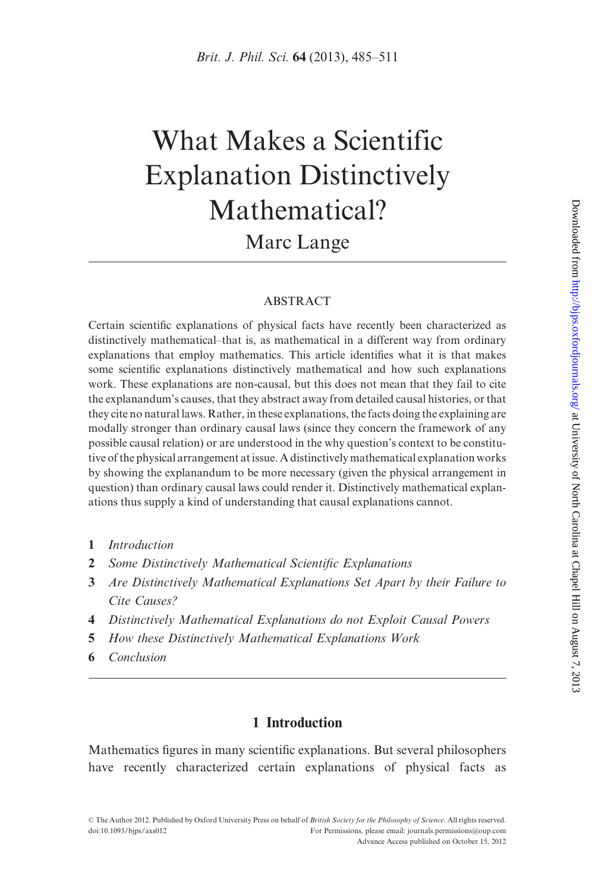# What Makes a Scientific Explanation Distinctively Mathematical? Marc Lange

#### ABSTRACT

Certain scientific explanations of physical facts have recently been characterized as distinctively mathematical–that is, as mathematical in a different way from ordinary explanations that employ mathematics. This article identifies what it is that makes some scientific explanations distinctively mathematical and how such explanations work. These explanations are non-causal, but this does not mean that they fail to cite the explanandum's causes, that they abstract away from detailed causal histories, or that they cite no natural laws. Rather, in these explanations, the facts doing the explaining are modally stronger than ordinary causal laws (since they concern the framework of any possible causal relation) or are understood in the why question's context to be constitutive of the physical arrangement at issue. A distinctively mathematical explanation works by showing the explanandum to be more necessary (given the physical arrangement in question) than ordinary causal laws could render it. Distinctively mathematical explanations thus supply a kind of understanding that causal explanations cannot.

- 1 Introduction
- 2 Some Distinctively Mathematical Scientific Explanations
- 3 Are Distinctively Mathematical Explanations Set Apart by their Failure to Cite Causes?
- 4 Distinctively Mathematical Explanations do not Exploit Causal Powers
- 5 How these Distinctively Mathematical Explanations Work
- 6 Conclusion

# 1 Introduction

Mathematics figures in many scientific explanations. But several philosophers have recently characterized certain explanations of physical facts as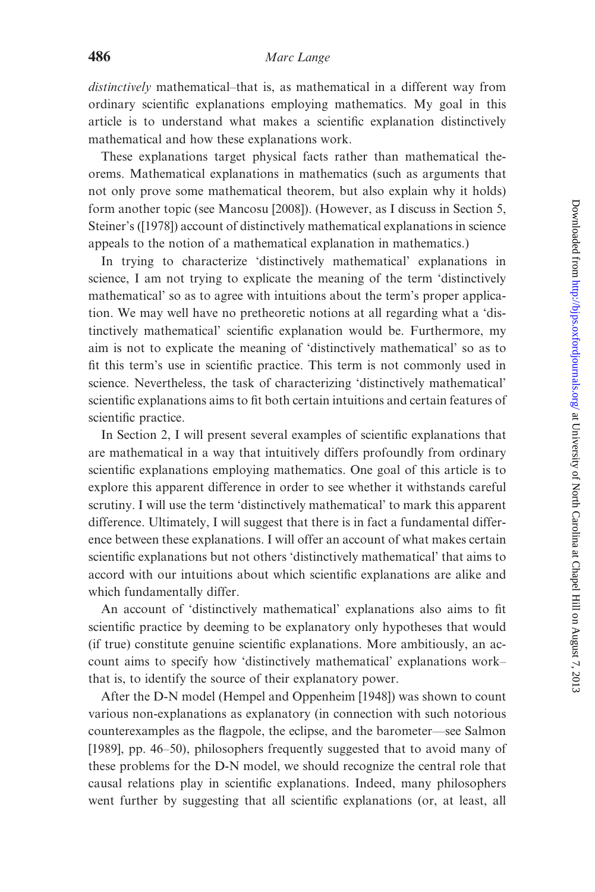distinctively mathematical–that is, as mathematical in a different way from ordinary scientific explanations employing mathematics. My goal in this article is to understand what makes a scientific explanation distinctively mathematical and how these explanations work.

These explanations target physical facts rather than mathematical theorems. Mathematical explanations in mathematics (such as arguments that not only prove some mathematical theorem, but also explain why it holds) form another topic (see [Mancosu \[2008\]](#page-26-0)). (However, as I discuss in Section 5, Steiner's [\(\[1978\]](#page-26-0)) account of distinctively mathematical explanations in science appeals to the notion of a mathematical explanation in mathematics.)

In trying to characterize 'distinctively mathematical' explanations in science, I am not trying to explicate the meaning of the term 'distinctively mathematical' so as to agree with intuitions about the term's proper application. We may well have no pretheoretic notions at all regarding what a 'distinctively mathematical' scientific explanation would be. Furthermore, my aim is not to explicate the meaning of 'distinctively mathematical' so as to fit this term's use in scientific practice. This term is not commonly used in science. Nevertheless, the task of characterizing 'distinctively mathematical' scientific explanations aims to fit both certain intuitions and certain features of scientific practice.

In Section 2, I will present several examples of scientific explanations that are mathematical in a way that intuitively differs profoundly from ordinary scientific explanations employing mathematics. One goal of this article is to explore this apparent difference in order to see whether it withstands careful scrutiny. I will use the term 'distinctively mathematical' to mark this apparent difference. Ultimately, I will suggest that there is in fact a fundamental difference between these explanations. I will offer an account of what makes certain scientific explanations but not others 'distinctively mathematical' that aims to accord with our intuitions about which scientific explanations are alike and which fundamentally differ.

An account of 'distinctively mathematical' explanations also aims to fit scientific practice by deeming to be explanatory only hypotheses that would (if true) constitute genuine scientific explanations. More ambitiously, an account aims to specify how 'distinctively mathematical' explanations work– that is, to identify the source of their explanatory power.

After the D-N model ([Hempel and Oppenheim \[1948\]\)](#page-25-0) was shown to count various non-explanations as explanatory (in connection with such notorious counterexamples as the flagpole, the eclipse, and the barometer—see [Salmon](#page-26-0) [\[1989\],](#page-26-0) pp. 46–50), philosophers frequently suggested that to avoid many of these problems for the D-N model, we should recognize the central role that causal relations play in scientific explanations. Indeed, many philosophers went further by suggesting that all scientific explanations (or, at least, all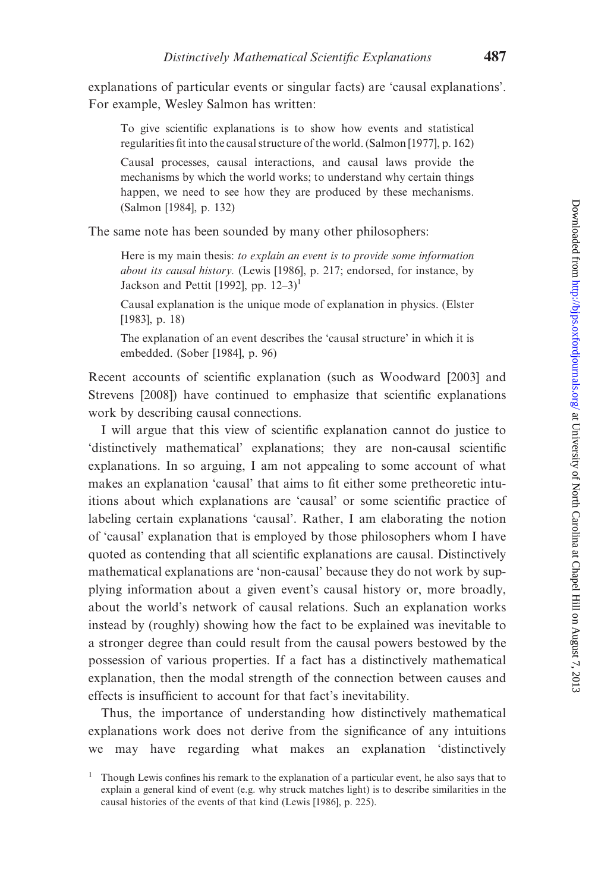explanations of particular events or singular facts) are 'causal explanations'. For example, Wesley Salmon has written:

To give scientific explanations is to show how events and statistical regularities fit into the causal structure of the world. ([Salmon \[1977\]](#page-26-0), p. 162)

Causal processes, causal interactions, and causal laws provide the mechanisms by which the world works; to understand why certain things happen, we need to see how they are produced by these mechanisms. [\(Salmon \[1984\]](#page-26-0), p. 132)

The same note has been sounded by many other philosophers:

Here is my main thesis: to explain an event is to provide some information about its causal history. [\(Lewis \[1986\],](#page-26-0) p. 217; endorsed, for instance, by [Jackson and Pettit \[1992\],](#page-25-0) pp.  $12-3$ ]<sup>1</sup>

Causal explanation is the unique mode of explanation in physics. ([Elster](#page-25-0) [\[1983\]](#page-25-0), p. 18)

The explanation of an event describes the 'causal structure' in which it is embedded. [\(Sober \[1984\],](#page-26-0) p. 96)

Recent accounts of scientific explanation (such as [Woodward \[2003\]](#page-26-0) and [Strevens \[2008\]\)](#page-26-0) have continued to emphasize that scientific explanations work by describing causal connections.

I will argue that this view of scientific explanation cannot do justice to 'distinctively mathematical' explanations; they are non-causal scientific explanations. In so arguing, I am not appealing to some account of what makes an explanation 'causal' that aims to fit either some pretheoretic intuitions about which explanations are 'causal' or some scientific practice of labeling certain explanations 'causal'. Rather, I am elaborating the notion of 'causal' explanation that is employed by those philosophers whom I have quoted as contending that all scientific explanations are causal. Distinctively mathematical explanations are 'non-causal' because they do not work by supplying information about a given event's causal history or, more broadly, about the world's network of causal relations. Such an explanation works instead by (roughly) showing how the fact to be explained was inevitable to a stronger degree than could result from the causal powers bestowed by the possession of various properties. If a fact has a distinctively mathematical explanation, then the modal strength of the connection between causes and effects is insufficient to account for that fact's inevitability.

Thus, the importance of understanding how distinctively mathematical explanations work does not derive from the significance of any intuitions we may have regarding what makes an explanation 'distinctively

 $1$  Though Lewis confines his remark to the explanation of a particular event, he also says that to explain a general kind of event (e.g. why struck matches light) is to describe similarities in the causal histories of the events of that kind [\(Lewis \[1986\],](#page-26-0) p. 225).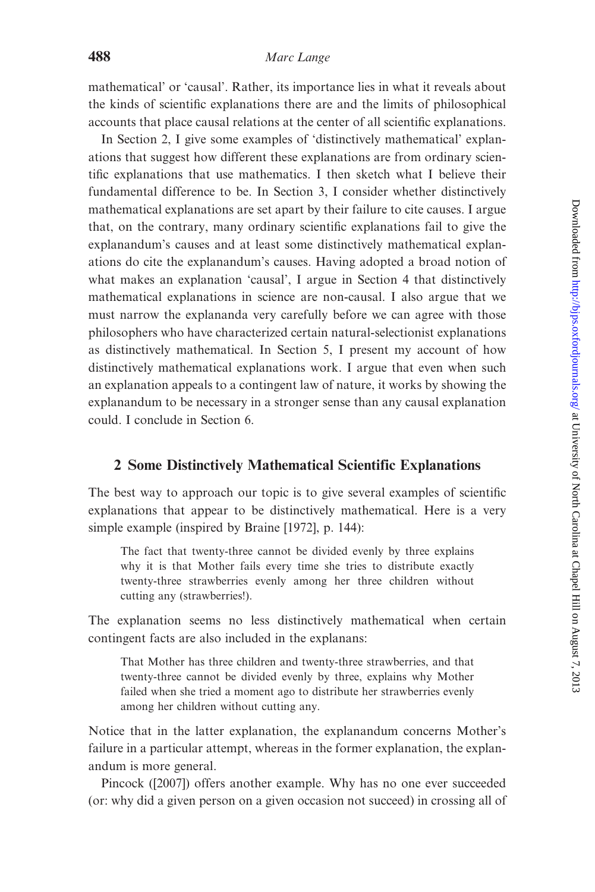mathematical' or 'causal'. Rather, its importance lies in what it reveals about the kinds of scientific explanations there are and the limits of philosophical accounts that place causal relations at the center of all scientific explanations.

In Section 2, I give some examples of 'distinctively mathematical' explanations that suggest how different these explanations are from ordinary scientific explanations that use mathematics. I then sketch what I believe their fundamental difference to be. In Section 3, I consider whether distinctively mathematical explanations are set apart by their failure to cite causes. I argue that, on the contrary, many ordinary scientific explanations fail to give the explanandum's causes and at least some distinctively mathematical explanations do cite the explanandum's causes. Having adopted a broad notion of what makes an explanation 'causal', I argue in Section 4 that distinctively mathematical explanations in science are non-causal. I also argue that we must narrow the explananda very carefully before we can agree with those philosophers who have characterized certain natural-selectionist explanations as distinctively mathematical. In Section 5, I present my account of how distinctively mathematical explanations work. I argue that even when such an explanation appeals to a contingent law of nature, it works by showing the explanandum to be necessary in a stronger sense than any causal explanation could. I conclude in Section 6.

#### 2 Some Distinctively Mathematical Scientific Explanations

The best way to approach our topic is to give several examples of scientific explanations that appear to be distinctively mathematical. Here is a very simple example (inspired by [Braine \[1972\]](#page-25-0), p. 144):

The fact that twenty-three cannot be divided evenly by three explains why it is that Mother fails every time she tries to distribute exactly twenty-three strawberries evenly among her three children without cutting any (strawberries!).

The explanation seems no less distinctively mathematical when certain contingent facts are also included in the explanans:

That Mother has three children and twenty-three strawberries, and that twenty-three cannot be divided evenly by three, explains why Mother failed when she tried a moment ago to distribute her strawberries evenly among her children without cutting any.

Notice that in the latter explanation, the explanandum concerns Mother's failure in a particular attempt, whereas in the former explanation, the explanandum is more general.

Pincock ([\[2007\]](#page-26-0)) offers another example. Why has no one ever succeeded (or: why did a given person on a given occasion not succeed) in crossing all of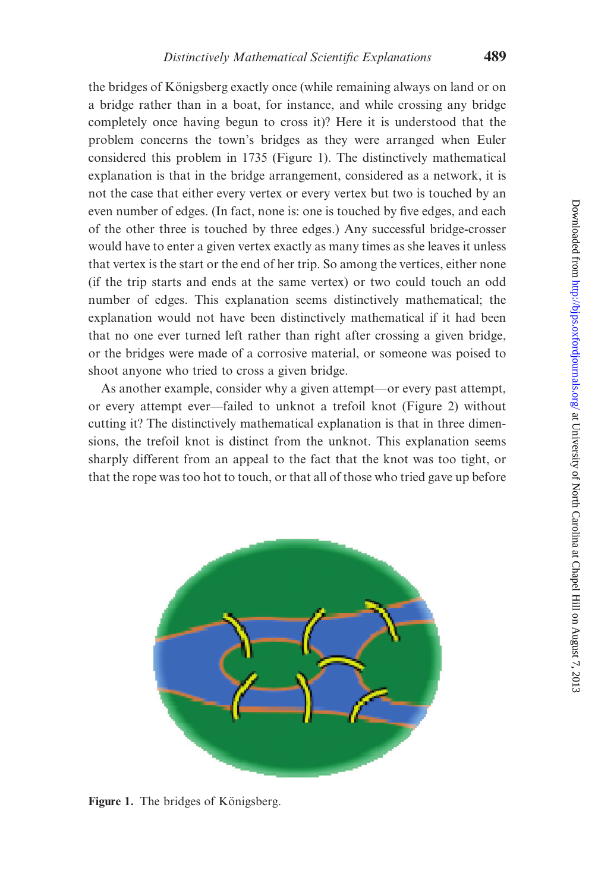the bridges of Königsberg exactly once (while remaining always on land or on a bridge rather than in a boat, for instance, and while crossing any bridge completely once having begun to cross it)? Here it is understood that the problem concerns the town's bridges as they were arranged when Euler considered this problem in 1735 (Figure 1). The distinctively mathematical explanation is that in the bridge arrangement, considered as a network, it is not the case that either every vertex or every vertex but two is touched by an even number of edges. (In fact, none is: one is touched by five edges, and each of the other three is touched by three edges.) Any successful bridge-crosser would have to enter a given vertex exactly as many times as she leaves it unless that vertex is the start or the end of her trip. So among the vertices, either none (if the trip starts and ends at the same vertex) or two could touch an odd number of edges. This explanation seems distinctively mathematical; the explanation would not have been distinctively mathematical if it had been that no one ever turned left rather than right after crossing a given bridge, or the bridges were made of a corrosive material, or someone was poised to shoot anyone who tried to cross a given bridge.

As another example, consider why a given attempt—or every past attempt, or every attempt ever—failed to unknot a trefoil knot [\(Figure 2\)](#page-5-0) without cutting it? The distinctively mathematical explanation is that in three dimensions, the trefoil knot is distinct from the unknot. This explanation seems sharply different from an appeal to the fact that the knot was too tight, or that the rope was too hot to touch, or that all of those who tried gave up before



Figure 1. The bridges of Königsberg.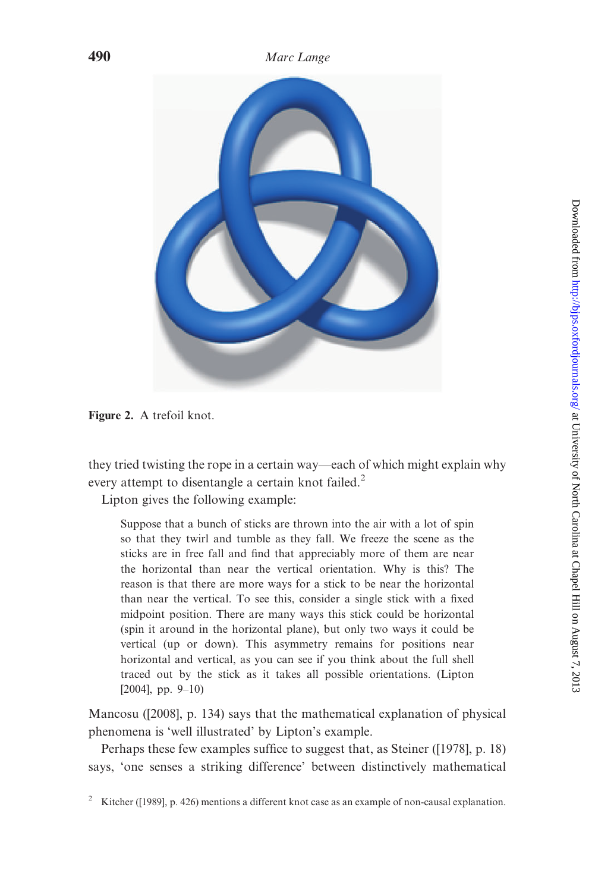<span id="page-5-0"></span>

Figure 2. A trefoil knot.

they tried twisting the rope in a certain way—each of which might explain why every attempt to disentangle a certain knot failed.<sup>2</sup>

Lipton gives the following example:

Suppose that a bunch of sticks are thrown into the air with a lot of spin so that they twirl and tumble as they fall. We freeze the scene as the sticks are in free fall and find that appreciably more of them are near the horizontal than near the vertical orientation. Why is this? The reason is that there are more ways for a stick to be near the horizontal than near the vertical. To see this, consider a single stick with a fixed midpoint position. There are many ways this stick could be horizontal (spin it around in the horizontal plane), but only two ways it could be vertical (up or down). This asymmetry remains for positions near horizontal and vertical, as you can see if you think about the full shell traced out by the stick as it takes all possible orientations. ([Lipton](#page-26-0) [\[2004\]](#page-26-0), pp. 9-10)

Mancosu [\(\[2008\]](#page-26-0), p. 134) says that the mathematical explanation of physical phenomena is 'well illustrated' by Lipton's example.

Perhaps these few examples suffice to suggest that, as Steiner ([\[1978\],](#page-26-0) p. 18) says, 'one senses a striking difference' between distinctively mathematical

<sup>&</sup>lt;sup>2</sup> Kitcher ([\[1989\],](#page-25-0) p. 426) mentions a different knot case as an example of non-causal explanation.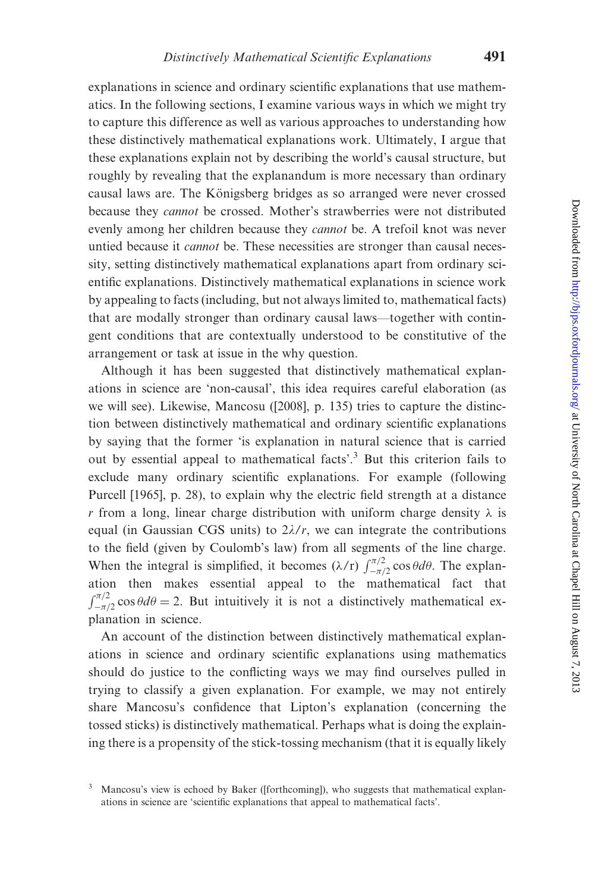explanations in science and ordinary scientific explanations that use mathematics. In the following sections, I examine various ways in which we might try to capture this difference as well as various approaches to understanding how these distinctively mathematical explanations work. Ultimately, I argue that these explanations explain not by describing the world's causal structure, but roughly by revealing that the explanandum is more necessary than ordinary causal laws are. The Königsberg bridges as so arranged were never crossed because they cannot be crossed. Mother's strawberries were not distributed evenly among her children because they *cannot* be. A trefoil knot was never untied because it *cannot* be. These necessities are stronger than causal necessity, setting distinctively mathematical explanations apart from ordinary scientific explanations. Distinctively mathematical explanations in science work by appealing to facts (including, but not always limited to, mathematical facts) that are modally stronger than ordinary causal laws—together with contingent conditions that are contextually understood to be constitutive of the arrangement or task at issue in the why question.

Although it has been suggested that distinctively mathematical explanations in science are 'non-causal', this idea requires careful elaboration (as we will see). Likewise, Mancosu ([\[2008\],](#page-26-0) p. 135) tries to capture the distinction between distinctively mathematical and ordinary scientific explanations by saying that the former 'is explanation in natural science that is carried out by essential appeal to mathematical facts'.<sup>3</sup> But this criterion fails to exclude many ordinary scientific explanations. For example (following [Purcell \[1965\]](#page-26-0), p. 28), to explain why the electric field strength at a distance r from a long, linear charge distribution with uniform charge density  $\lambda$  is equal (in Gaussian CGS units) to  $2\lambda/r$ , we can integrate the contributions to the field (given by Coulomb's law) from all segments of the line charge. When the integral is simplified, it becomes  $(\lambda/r) \int_{-\pi/2}^{\pi/2} \cos \theta d\theta$ . The explanation then makes essential appeal to the mathematical fact that  $\int$   $\frac{\pi}{2}$  $-\frac{\pi}{2}$  cos  $\theta d\theta = 2$ . But intuitively it is not a distinctively mathematical explanation in science.

An account of the distinction between distinctively mathematical explanations in science and ordinary scientific explanations using mathematics should do justice to the conflicting ways we may find ourselves pulled in trying to classify a given explanation. For example, we may not entirely share Mancosu's confidence that Lipton's explanation (concerning the tossed sticks) is distinctively mathematical. Perhaps what is doing the explaining there is a propensity of the stick-tossing mechanism (that it is equally likely

Mancosu's view is echoed by [Baker \(\[forthcoming\]\)](#page-25-0), who suggests that mathematical explanations in science are 'scientific explanations that appeal to mathematical facts'.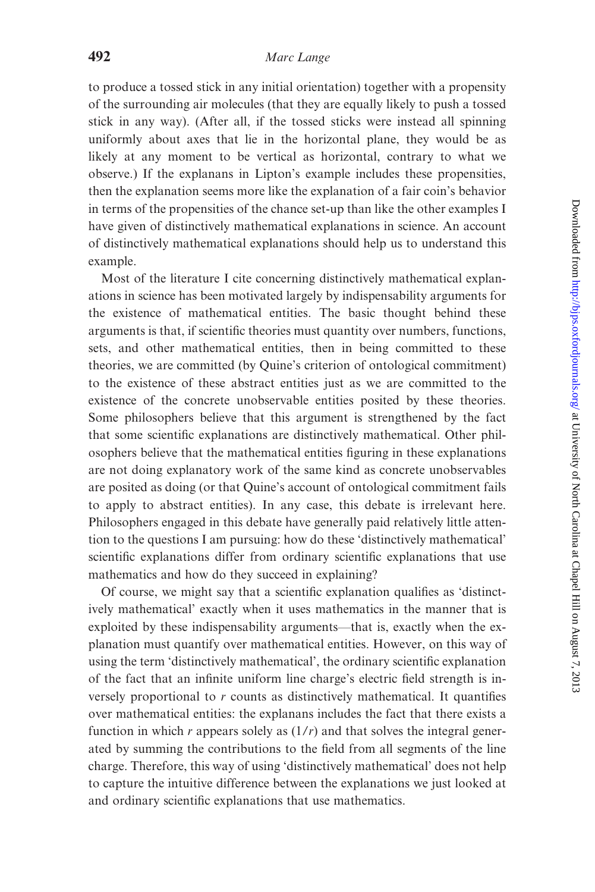to produce a tossed stick in any initial orientation) together with a propensity of the surrounding air molecules (that they are equally likely to push a tossed stick in any way). (After all, if the tossed sticks were instead all spinning uniformly about axes that lie in the horizontal plane, they would be as likely at any moment to be vertical as horizontal, contrary to what we observe.) If the explanans in Lipton's example includes these propensities, then the explanation seems more like the explanation of a fair coin's behavior in terms of the propensities of the chance set-up than like the other examples I have given of distinctively mathematical explanations in science. An account of distinctively mathematical explanations should help us to understand this example.

Most of the literature I cite concerning distinctively mathematical explanations in science has been motivated largely by indispensability arguments for the existence of mathematical entities. The basic thought behind these arguments is that, if scientific theories must quantity over numbers, functions, sets, and other mathematical entities, then in being committed to these theories, we are committed (by Quine's criterion of ontological commitment) to the existence of these abstract entities just as we are committed to the existence of the concrete unobservable entities posited by these theories. Some philosophers believe that this argument is strengthened by the fact that some scientific explanations are distinctively mathematical. Other philosophers believe that the mathematical entities figuring in these explanations are not doing explanatory work of the same kind as concrete unobservables are posited as doing (or that Quine's account of ontological commitment fails to apply to abstract entities). In any case, this debate is irrelevant here. Philosophers engaged in this debate have generally paid relatively little attention to the questions I am pursuing: how do these 'distinctively mathematical' scientific explanations differ from ordinary scientific explanations that use mathematics and how do they succeed in explaining?

Of course, we might say that a scientific explanation qualifies as 'distinctively mathematical' exactly when it uses mathematics in the manner that is exploited by these indispensability arguments—that is, exactly when the explanation must quantify over mathematical entities. However, on this way of using the term 'distinctively mathematical', the ordinary scientific explanation of the fact that an infinite uniform line charge's electric field strength is inversely proportional to r counts as distinctively mathematical. It quantifies over mathematical entities: the explanans includes the fact that there exists a function in which r appears solely as  $(1/r)$  and that solves the integral generated by summing the contributions to the field from all segments of the line charge. Therefore, this way of using 'distinctively mathematical' does not help to capture the intuitive difference between the explanations we just looked at and ordinary scientific explanations that use mathematics.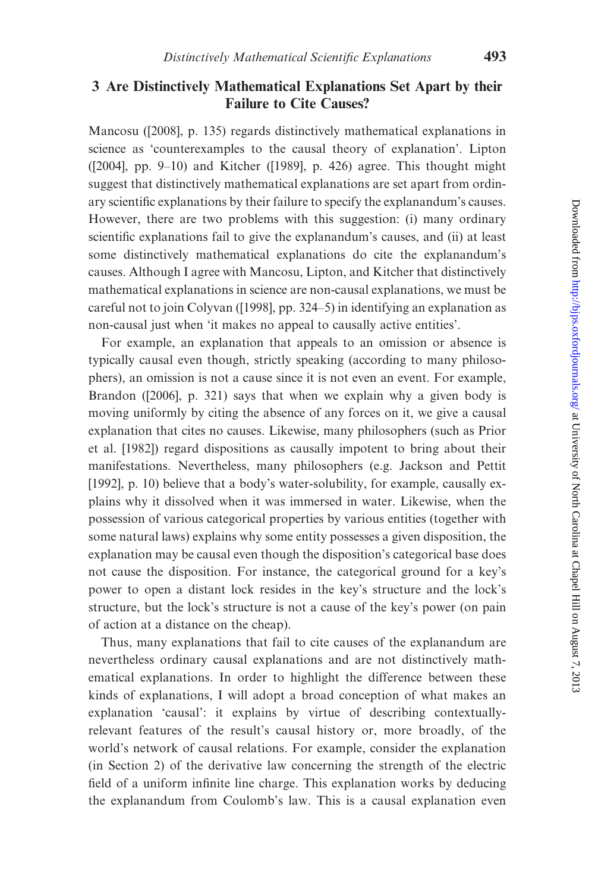# 3 Are Distinctively Mathematical Explanations Set Apart by their Failure to Cite Causes?

Mancosu ([\[2008\],](#page-26-0) p. 135) regards distinctively mathematical explanations in science as 'counterexamples to the causal theory of explanation'. Lipton ([\[2004\],](#page-26-0) pp. 9–10) and Kitcher [\(\[1989\],](#page-25-0) p. 426) agree. This thought might suggest that distinctively mathematical explanations are set apart from ordinary scientific explanations by their failure to specify the explanandum's causes. However, there are two problems with this suggestion: (i) many ordinary scientific explanations fail to give the explanandum's causes, and (ii) at least some distinctively mathematical explanations do cite the explanandum's causes. Although I agree with Mancosu, Lipton, and Kitcher that distinctively mathematical explanations in science are non-causal explanations, we must be careful not to join Colyvan ([\[1998\],](#page-25-0) pp. 324–5) in identifying an explanation as non-causal just when 'it makes no appeal to causally active entities'.

For example, an explanation that appeals to an omission or absence is typically causal even though, strictly speaking (according to many philosophers), an omission is not a cause since it is not even an event. For example, Brandon ([\[2006\],](#page-25-0) p. 321) says that when we explain why a given body is moving uniformly by citing the absence of any forces on it, we give a causal explanation that cites no causes. Likewise, many philosophers (such as [Prior](#page-26-0) [et al. \[1982\]\)](#page-26-0) regard dispositions as causally impotent to bring about their manifestations. Nevertheless, many philosophers (e.g. [Jackson and Pettit](#page-25-0) [\[1992\],](#page-25-0) p. 10) believe that a body's water-solubility, for example, causally explains why it dissolved when it was immersed in water. Likewise, when the possession of various categorical properties by various entities (together with some natural laws) explains why some entity possesses a given disposition, the explanation may be causal even though the disposition's categorical base does not cause the disposition. For instance, the categorical ground for a key's power to open a distant lock resides in the key's structure and the lock's structure, but the lock's structure is not a cause of the key's power (on pain of action at a distance on the cheap).

Thus, many explanations that fail to cite causes of the explanandum are nevertheless ordinary causal explanations and are not distinctively mathematical explanations. In order to highlight the difference between these kinds of explanations, I will adopt a broad conception of what makes an explanation 'causal': it explains by virtue of describing contextuallyrelevant features of the result's causal history or, more broadly, of the world's network of causal relations. For example, consider the explanation (in Section 2) of the derivative law concerning the strength of the electric field of a uniform infinite line charge. This explanation works by deducing the explanandum from Coulomb's law. This is a causal explanation even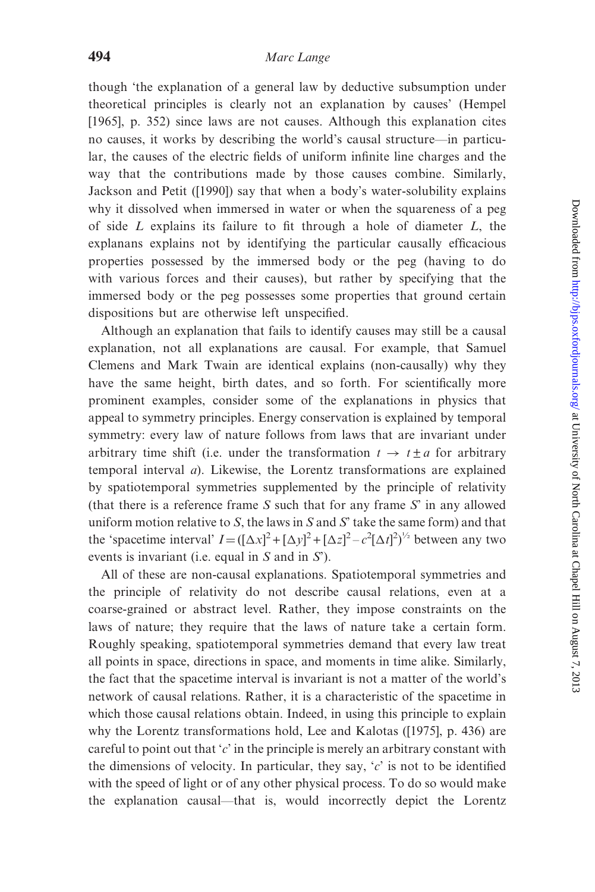though 'the explanation of a general law by deductive subsumption under theoretical principles is clearly not an explanation by causes' ([Hempel](#page-25-0) [\[1965\]](#page-25-0), p. 352) since laws are not causes. Although this explanation cites no causes, it works by describing the world's causal structure—in particular, the causes of the electric fields of uniform infinite line charges and the way that the contributions made by those causes combine. Similarly, Jackson and Petit ([\[1990\]](#page-25-0)) say that when a body's water-solubility explains why it dissolved when immersed in water or when the squareness of a peg of side  $L$  explains its failure to fit through a hole of diameter  $L$ , the explanans explains not by identifying the particular causally efficacious properties possessed by the immersed body or the peg (having to do with various forces and their causes), but rather by specifying that the immersed body or the peg possesses some properties that ground certain dispositions but are otherwise left unspecified.

Although an explanation that fails to identify causes may still be a causal explanation, not all explanations are causal. For example, that Samuel Clemens and Mark Twain are identical explains (non-causally) why they have the same height, birth dates, and so forth. For scientifically more prominent examples, consider some of the explanations in physics that appeal to symmetry principles. Energy conservation is explained by temporal symmetry: every law of nature follows from laws that are invariant under arbitrary time shift (i.e. under the transformation  $t \to t \pm a$  for arbitrary temporal interval a). Likewise, the Lorentz transformations are explained by spatiotemporal symmetries supplemented by the principle of relativity (that there is a reference frame  $S$  such that for any frame  $S'$  in any allowed uniform motion relative to S, the laws in S and S' take the same form) and that the 'spacetime interval'  $I = ([\Delta x]^2 + [\Delta y]^2 + [\Delta z]^2 - c^2 [\Delta t]^2)^{1/2}$  between any two events is invariant (i.e. equal in S and in S').

All of these are non-causal explanations. Spatiotemporal symmetries and the principle of relativity do not describe causal relations, even at a coarse-grained or abstract level. Rather, they impose constraints on the laws of nature; they require that the laws of nature take a certain form. Roughly speaking, spatiotemporal symmetries demand that every law treat all points in space, directions in space, and moments in time alike. Similarly, the fact that the spacetime interval is invariant is not a matter of the world's network of causal relations. Rather, it is a characteristic of the spacetime in which those causal relations obtain. Indeed, in using this principle to explain why the Lorentz transformations hold, Lee and Kalotas ([\[1975\],](#page-26-0) p. 436) are careful to point out that  $c'$  in the principle is merely an arbitrary constant with the dimensions of velocity. In particular, they say,  $c<sup>i</sup>$  is not to be identified with the speed of light or of any other physical process. To do so would make the explanation causal—that is, would incorrectly depict the Lorentz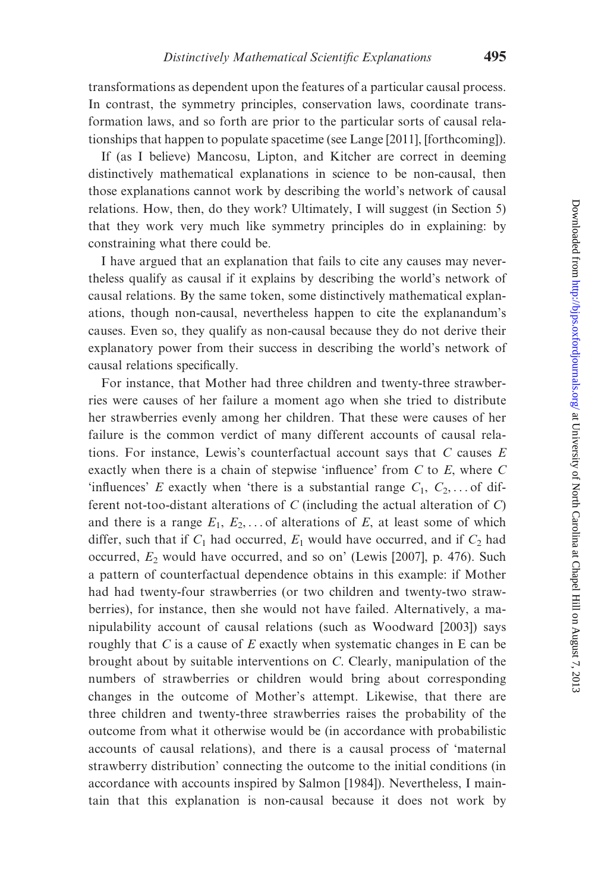transformations as dependent upon the features of a particular causal process. In contrast, the symmetry principles, conservation laws, coordinate transformation laws, and so forth are prior to the particular sorts of causal relationships that happen to populate spacetime (see [Lange \[2011\]](#page-25-0), [\[forthcoming\]\)](#page-26-0).

If (as I believe) Mancosu, Lipton, and Kitcher are correct in deeming distinctively mathematical explanations in science to be non-causal, then those explanations cannot work by describing the world's network of causal relations. How, then, do they work? Ultimately, I will suggest (in Section 5) that they work very much like symmetry principles do in explaining: by constraining what there could be.

I have argued that an explanation that fails to cite any causes may nevertheless qualify as causal if it explains by describing the world's network of causal relations. By the same token, some distinctively mathematical explanations, though non-causal, nevertheless happen to cite the explanandum's causes. Even so, they qualify as non-causal because they do not derive their explanatory power from their success in describing the world's network of causal relations specifically.

For instance, that Mother had three children and twenty-three strawberries were causes of her failure a moment ago when she tried to distribute her strawberries evenly among her children. That these were causes of her failure is the common verdict of many different accounts of causal relations. For instance, Lewis's counterfactual account says that  $C$  causes  $E$ exactly when there is a chain of stepwise 'influence' from  $C$  to  $E$ , where  $C$ 'influences' E exactly when 'there is a substantial range  $C_1, C_2, \ldots$  of different not-too-distant alterations of  $C$  (including the actual alteration of  $C$ ) and there is a range  $E_1, E_2, \ldots$  of alterations of E, at least some of which differ, such that if  $C_1$  had occurred,  $E_1$  would have occurred, and if  $C_2$  had occurred,  $E_2$  would have occurred, and so on' [\(Lewis \[2007\],](#page-26-0) p. 476). Such a pattern of counterfactual dependence obtains in this example: if Mother had had twenty-four strawberries (or two children and twenty-two strawberries), for instance, then she would not have failed. Alternatively, a manipulability account of causal relations (such as [Woodward \[2003\]\)](#page-26-0) says roughly that  $C$  is a cause of  $E$  exactly when systematic changes in  $E$  can be brought about by suitable interventions on C. Clearly, manipulation of the numbers of strawberries or children would bring about corresponding changes in the outcome of Mother's attempt. Likewise, that there are three children and twenty-three strawberries raises the probability of the outcome from what it otherwise would be (in accordance with probabilistic accounts of causal relations), and there is a causal process of 'maternal strawberry distribution' connecting the outcome to the initial conditions (in accordance with accounts inspired by [Salmon \[1984\]\)](#page-26-0). Nevertheless, I maintain that this explanation is non-causal because it does not work by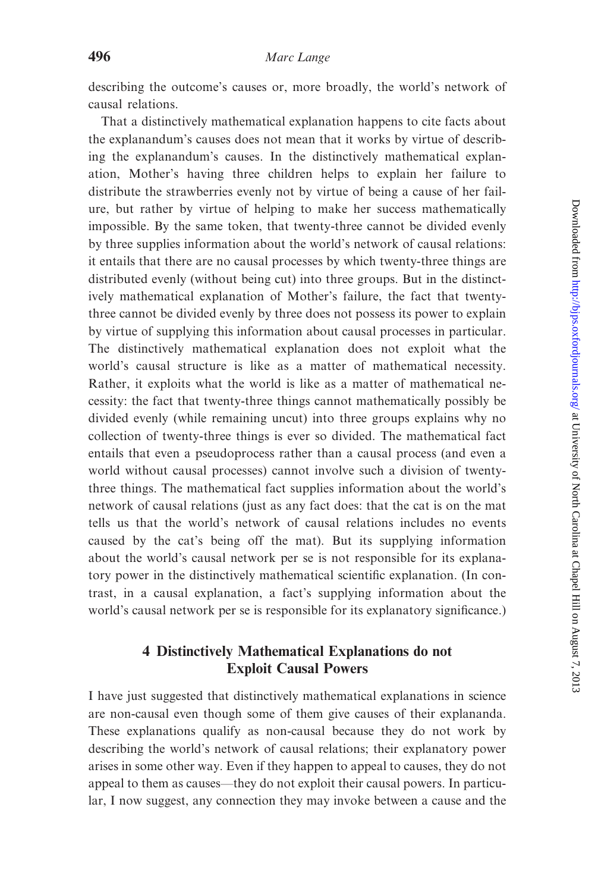describing the outcome's causes or, more broadly, the world's network of causal relations.

That a distinctively mathematical explanation happens to cite facts about the explanandum's causes does not mean that it works by virtue of describing the explanandum's causes. In the distinctively mathematical explanation, Mother's having three children helps to explain her failure to distribute the strawberries evenly not by virtue of being a cause of her failure, but rather by virtue of helping to make her success mathematically impossible. By the same token, that twenty-three cannot be divided evenly by three supplies information about the world's network of causal relations: it entails that there are no causal processes by which twenty-three things are distributed evenly (without being cut) into three groups. But in the distinctively mathematical explanation of Mother's failure, the fact that twentythree cannot be divided evenly by three does not possess its power to explain by virtue of supplying this information about causal processes in particular. The distinctively mathematical explanation does not exploit what the world's causal structure is like as a matter of mathematical necessity. Rather, it exploits what the world is like as a matter of mathematical necessity: the fact that twenty-three things cannot mathematically possibly be divided evenly (while remaining uncut) into three groups explains why no collection of twenty-three things is ever so divided. The mathematical fact entails that even a pseudoprocess rather than a causal process (and even a world without causal processes) cannot involve such a division of twentythree things. The mathematical fact supplies information about the world's network of causal relations (just as any fact does: that the cat is on the mat tells us that the world's network of causal relations includes no events caused by the cat's being off the mat). But its supplying information about the world's causal network per se is not responsible for its explanatory power in the distinctively mathematical scientific explanation. (In contrast, in a causal explanation, a fact's supplying information about the world's causal network per se is responsible for its explanatory significance.)

# 4 Distinctively Mathematical Explanations do not Exploit Causal Powers

I have just suggested that distinctively mathematical explanations in science are non-causal even though some of them give causes of their explananda. These explanations qualify as non-causal because they do not work by describing the world's network of causal relations; their explanatory power arises in some other way. Even if they happen to appeal to causes, they do not appeal to them as causes—they do not exploit their causal powers. In particular, I now suggest, any connection they may invoke between a cause and the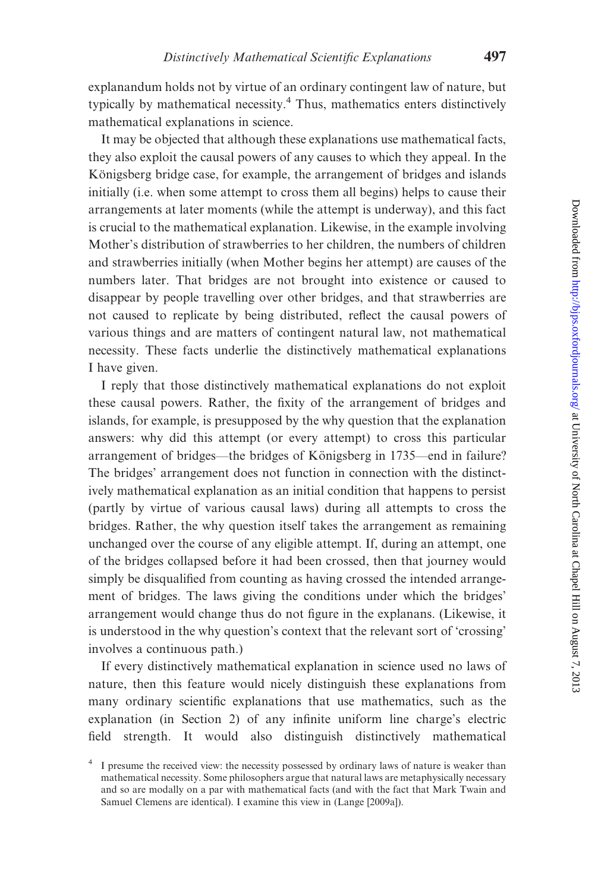explanandum holds not by virtue of an ordinary contingent law of nature, but typically by mathematical necessity.<sup>4</sup> Thus, mathematics enters distinctively mathematical explanations in science.

It may be objected that although these explanations use mathematical facts, they also exploit the causal powers of any causes to which they appeal. In the Königsberg bridge case, for example, the arrangement of bridges and islands initially (i.e. when some attempt to cross them all begins) helps to cause their arrangements at later moments (while the attempt is underway), and this fact is crucial to the mathematical explanation. Likewise, in the example involving Mother's distribution of strawberries to her children, the numbers of children and strawberries initially (when Mother begins her attempt) are causes of the numbers later. That bridges are not brought into existence or caused to disappear by people travelling over other bridges, and that strawberries are not caused to replicate by being distributed, reflect the causal powers of various things and are matters of contingent natural law, not mathematical necessity. These facts underlie the distinctively mathematical explanations I have given.

I reply that those distinctively mathematical explanations do not exploit these causal powers. Rather, the fixity of the arrangement of bridges and islands, for example, is presupposed by the why question that the explanation answers: why did this attempt (or every attempt) to cross this particular arrangement of bridges—the bridges of Königsberg in 1735—end in failure? The bridges' arrangement does not function in connection with the distinctively mathematical explanation as an initial condition that happens to persist (partly by virtue of various causal laws) during all attempts to cross the bridges. Rather, the why question itself takes the arrangement as remaining unchanged over the course of any eligible attempt. If, during an attempt, one of the bridges collapsed before it had been crossed, then that journey would simply be disqualified from counting as having crossed the intended arrangement of bridges. The laws giving the conditions under which the bridges' arrangement would change thus do not figure in the explanans. (Likewise, it is understood in the why question's context that the relevant sort of 'crossing' involves a continuous path.)

If every distinctively mathematical explanation in science used no laws of nature, then this feature would nicely distinguish these explanations from many ordinary scientific explanations that use mathematics, such as the explanation (in Section 2) of any infinite uniform line charge's electric field strength. It would also distinguish distinctively mathematical

<sup>&</sup>lt;sup>4</sup> I presume the received view: the necessity possessed by ordinary laws of nature is weaker than mathematical necessity. Some philosophers argue that natural laws are metaphysically necessary and so are modally on a par with mathematical facts (and with the fact that Mark Twain and Samuel Clemens are identical). I examine this view in [\(Lange \[2009a\]\)](#page-25-0).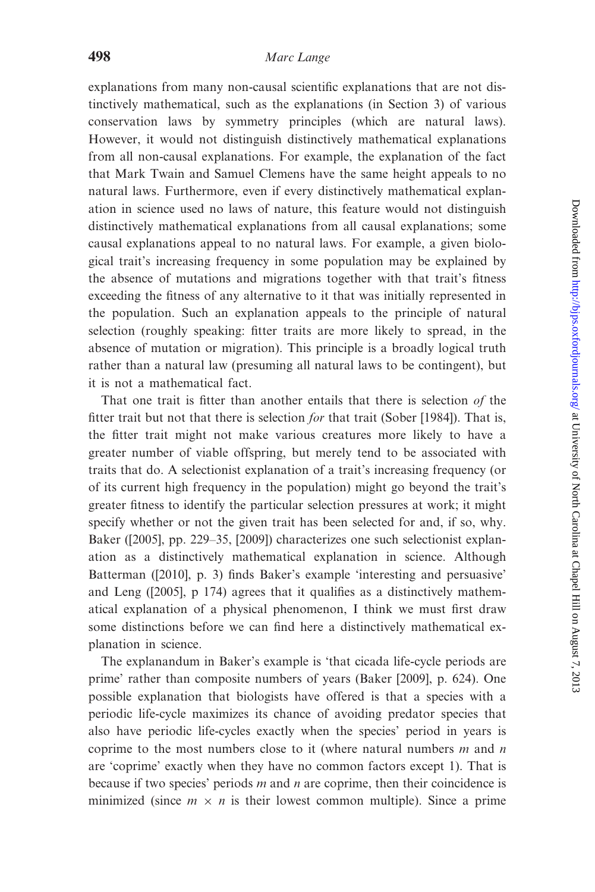explanations from many non-causal scientific explanations that are not distinctively mathematical, such as the explanations (in Section 3) of various conservation laws by symmetry principles (which are natural laws). However, it would not distinguish distinctively mathematical explanations from all non-causal explanations. For example, the explanation of the fact that Mark Twain and Samuel Clemens have the same height appeals to no natural laws. Furthermore, even if every distinctively mathematical explanation in science used no laws of nature, this feature would not distinguish distinctively mathematical explanations from all causal explanations; some causal explanations appeal to no natural laws. For example, a given biological trait's increasing frequency in some population may be explained by the absence of mutations and migrations together with that trait's fitness exceeding the fitness of any alternative to it that was initially represented in the population. Such an explanation appeals to the principle of natural selection (roughly speaking: fitter traits are more likely to spread, in the absence of mutation or migration). This principle is a broadly logical truth rather than a natural law (presuming all natural laws to be contingent), but it is not a mathematical fact.

That one trait is fitter than another entails that there is selection of the fitter trait but not that there is selection for that trait ([Sober \[1984\]\)](#page-26-0). That is, the fitter trait might not make various creatures more likely to have a greater number of viable offspring, but merely tend to be associated with traits that do. A selectionist explanation of a trait's increasing frequency (or of its current high frequency in the population) might go beyond the trait's greater fitness to identify the particular selection pressures at work; it might specify whether or not the given trait has been selected for and, if so, why. Baker ([\[2005\],](#page-25-0) pp. 229–35, [\[2009\]\)](#page-25-0) characterizes one such selectionist explanation as a distinctively mathematical explanation in science. Although Batterman ([\[2010\],](#page-25-0) p. 3) finds Baker's example 'interesting and persuasive' and Leng [\(\[2005\]](#page-26-0), p 174) agrees that it qualifies as a distinctively mathematical explanation of a physical phenomenon, I think we must first draw some distinctions before we can find here a distinctively mathematical explanation in science.

The explanandum in Baker's example is 'that cicada life-cycle periods are prime' rather than composite numbers of years ([Baker \[2009\]](#page-25-0), p. 624). One possible explanation that biologists have offered is that a species with a periodic life-cycle maximizes its chance of avoiding predator species that also have periodic life-cycles exactly when the species' period in years is coprime to the most numbers close to it (where natural numbers  $m$  and  $n$ are 'coprime' exactly when they have no common factors except 1). That is because if two species' periods  $m$  and  $n$  are coprime, then their coincidence is minimized (since  $m \times n$  is their lowest common multiple). Since a prime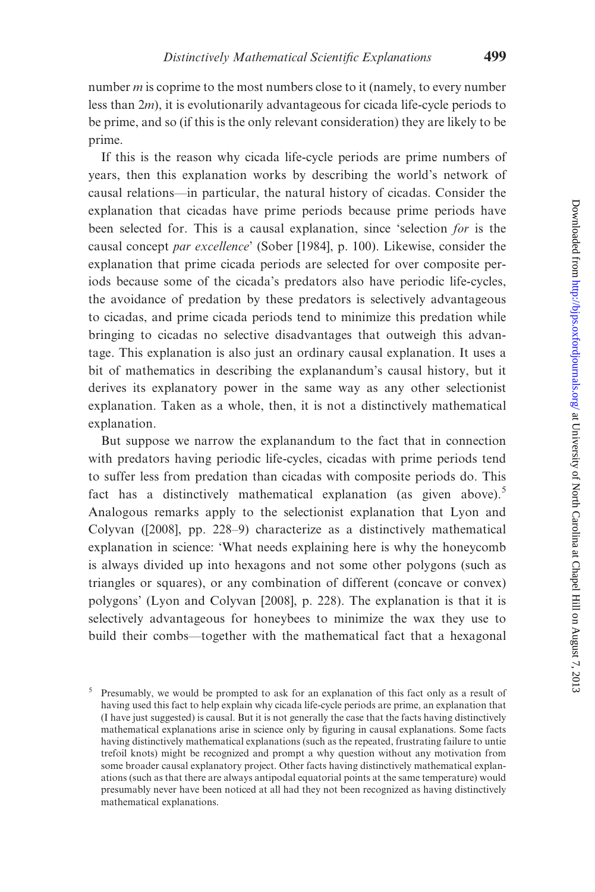number  $m$  is coprime to the most numbers close to it (namely, to every number less than 2m), it is evolutionarily advantageous for cicada life-cycle periods to be prime, and so (if this is the only relevant consideration) they are likely to be prime.

If this is the reason why cicada life-cycle periods are prime numbers of years, then this explanation works by describing the world's network of causal relations—in particular, the natural history of cicadas. Consider the explanation that cicadas have prime periods because prime periods have been selected for. This is a causal explanation, since 'selection for is the causal concept par excellence' [\(Sober \[1984\]](#page-26-0), p. 100). Likewise, consider the explanation that prime cicada periods are selected for over composite periods because some of the cicada's predators also have periodic life-cycles, the avoidance of predation by these predators is selectively advantageous to cicadas, and prime cicada periods tend to minimize this predation while bringing to cicadas no selective disadvantages that outweigh this advantage. This explanation is also just an ordinary causal explanation. It uses a bit of mathematics in describing the explanandum's causal history, but it derives its explanatory power in the same way as any other selectionist explanation. Taken as a whole, then, it is not a distinctively mathematical explanation.

But suppose we narrow the explanandum to the fact that in connection with predators having periodic life-cycles, cicadas with prime periods tend to suffer less from predation than cicadas with composite periods do. This fact has a distinctively mathematical explanation (as given above).<sup>5</sup> Analogous remarks apply to the selectionist explanation that Lyon and Colyvan [\(\[2008\],](#page-26-0) pp. 228–9) characterize as a distinctively mathematical explanation in science: 'What needs explaining here is why the honeycomb is always divided up into hexagons and not some other polygons (such as triangles or squares), or any combination of different (concave or convex) polygons' [\(Lyon and Colyvan \[2008\],](#page-26-0) p. 228). The explanation is that it is selectively advantageous for honeybees to minimize the wax they use to build their combs—together with the mathematical fact that a hexagonal

<sup>&</sup>lt;sup>5</sup> Presumably, we would be prompted to ask for an explanation of this fact only as a result of having used this fact to help explain why cicada life-cycle periods are prime, an explanation that (I have just suggested) is causal. But it is not generally the case that the facts having distinctively mathematical explanations arise in science only by figuring in causal explanations. Some facts having distinctively mathematical explanations (such as the repeated, frustrating failure to untie trefoil knots) might be recognized and prompt a why question without any motivation from some broader causal explanatory project. Other facts having distinctively mathematical explanations (such as that there are always antipodal equatorial points at the same temperature) would presumably never have been noticed at all had they not been recognized as having distinctively mathematical explanations.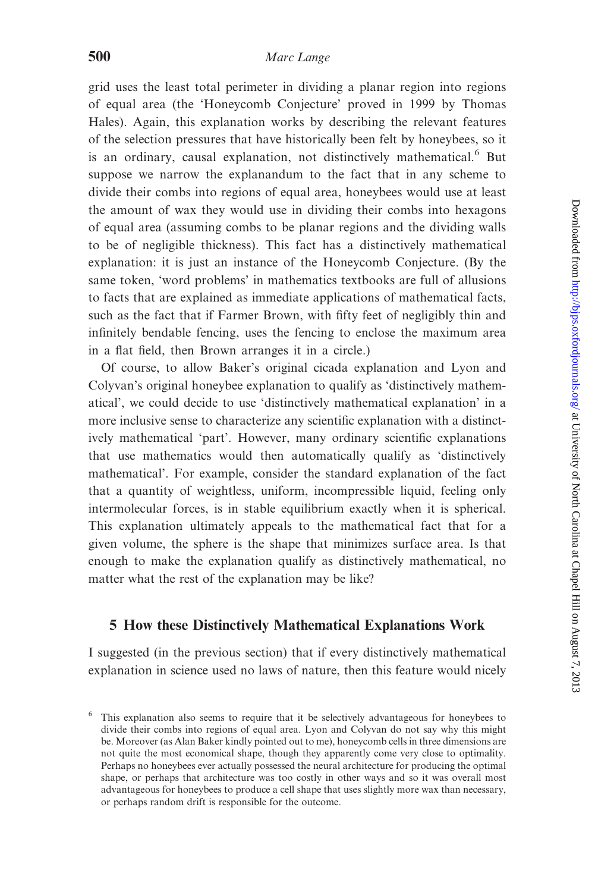grid uses the least total perimeter in dividing a planar region into regions of equal area (the 'Honeycomb Conjecture' proved in 1999 by Thomas Hales). Again, this explanation works by describing the relevant features of the selection pressures that have historically been felt by honeybees, so it is an ordinary, causal explanation, not distinctively mathematical.<sup>6</sup> But suppose we narrow the explanandum to the fact that in any scheme to divide their combs into regions of equal area, honeybees would use at least the amount of wax they would use in dividing their combs into hexagons of equal area (assuming combs to be planar regions and the dividing walls to be of negligible thickness). This fact has a distinctively mathematical explanation: it is just an instance of the Honeycomb Conjecture. (By the same token, 'word problems' in mathematics textbooks are full of allusions to facts that are explained as immediate applications of mathematical facts, such as the fact that if Farmer Brown, with fifty feet of negligibly thin and infinitely bendable fencing, uses the fencing to enclose the maximum area in a flat field, then Brown arranges it in a circle.)

Of course, to allow Baker's original cicada explanation and Lyon and Colyvan's original honeybee explanation to qualify as 'distinctively mathematical', we could decide to use 'distinctively mathematical explanation' in a more inclusive sense to characterize any scientific explanation with a distinctively mathematical 'part'. However, many ordinary scientific explanations that use mathematics would then automatically qualify as 'distinctively mathematical'. For example, consider the standard explanation of the fact that a quantity of weightless, uniform, incompressible liquid, feeling only intermolecular forces, is in stable equilibrium exactly when it is spherical. This explanation ultimately appeals to the mathematical fact that for a given volume, the sphere is the shape that minimizes surface area. Is that enough to make the explanation qualify as distinctively mathematical, no matter what the rest of the explanation may be like?

## 5 How these Distinctively Mathematical Explanations Work

I suggested (in the previous section) that if every distinctively mathematical explanation in science used no laws of nature, then this feature would nicely

<sup>6</sup> This explanation also seems to require that it be selectively advantageous for honeybees to divide their combs into regions of equal area. Lyon and Colyvan do not say why this might be. Moreover (as Alan Baker kindly pointed out to me), honeycomb cells in three dimensions are not quite the most economical shape, though they apparently come very close to optimality. Perhaps no honeybees ever actually possessed the neural architecture for producing the optimal shape, or perhaps that architecture was too costly in other ways and so it was overall most advantageous for honeybees to produce a cell shape that uses slightly more wax than necessary, or perhaps random drift is responsible for the outcome.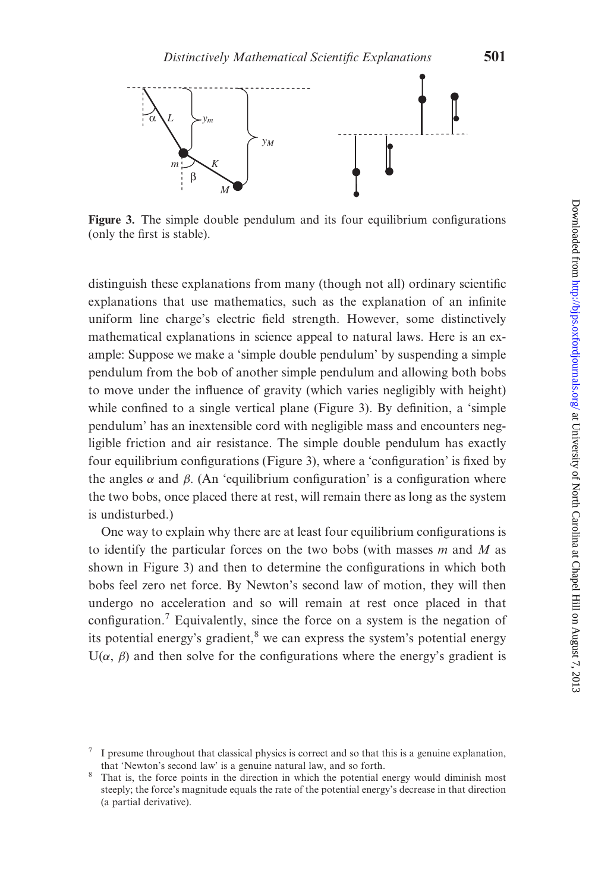<span id="page-16-0"></span>

Figure 3. The simple double pendulum and its four equilibrium configurations (only the first is stable).

distinguish these explanations from many (though not all) ordinary scientific explanations that use mathematics, such as the explanation of an infinite uniform line charge's electric field strength. However, some distinctively mathematical explanations in science appeal to natural laws. Here is an example: Suppose we make a 'simple double pendulum' by suspending a simple pendulum from the bob of another simple pendulum and allowing both bobs to move under the influence of gravity (which varies negligibly with height) while confined to a single vertical plane (Figure 3). By definition, a 'simple pendulum' has an inextensible cord with negligible mass and encounters negligible friction and air resistance. The simple double pendulum has exactly four equilibrium configurations (Figure 3), where a 'configuration' is fixed by the angles  $\alpha$  and  $\beta$ . (An 'equilibrium configuration' is a configuration where the two bobs, once placed there at rest, will remain there as long as the system is undisturbed.)

One way to explain why there are at least four equilibrium configurations is to identify the particular forces on the two bobs (with masses  $m$  and  $M$  as shown in Figure 3) and then to determine the configurations in which both bobs feel zero net force. By Newton's second law of motion, they will then undergo no acceleration and so will remain at rest once placed in that configuration.<sup>7</sup> Equivalently, since the force on a system is the negation of its potential energy's gradient, $\frac{8}{3}$  we can express the system's potential energy  $U(\alpha, \beta)$  and then solve for the configurations where the energy's gradient is

 $\frac{7}{1}$  I presume throughout that classical physics is correct and so that this is a genuine explanation, that 'Newton's second law' is a genuine natural law, and so forth.

<sup>&</sup>lt;sup>8</sup> That is, the force points in the direction in which the potential energy would diminish most steeply; the force's magnitude equals the rate of the potential energy's decrease in that direction (a partial derivative).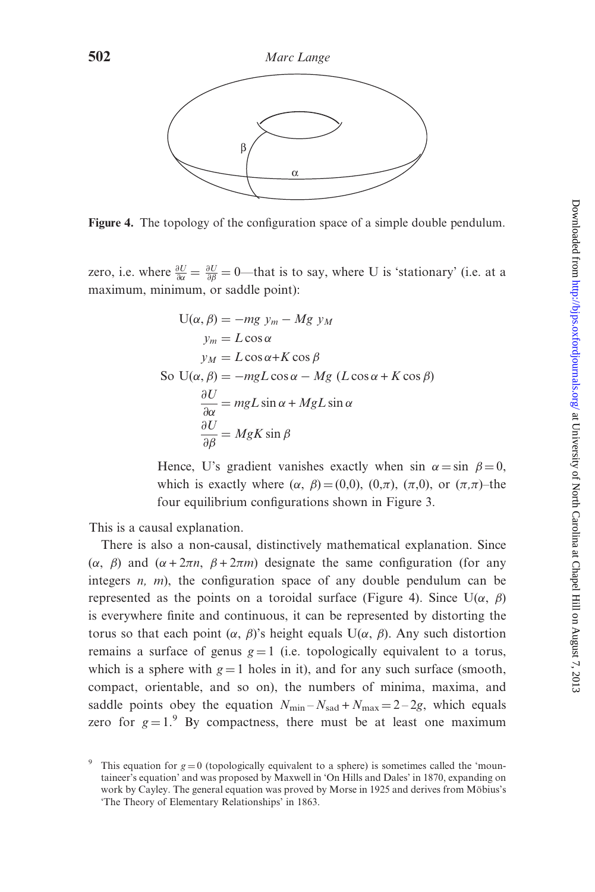

Figure 4. The topology of the configuration space of a simple double pendulum.

zero, i.e. where  $\frac{\partial U}{\partial \alpha} = \frac{\partial U}{\partial \beta} = 0$ —that is to say, where U is 'stationary' (i.e. at a maximum, minimum, or saddle point):

$$
U(\alpha, \beta) = -mg y_m - Mg y_M
$$
  
\n
$$
y_m = L \cos \alpha
$$
  
\n
$$
y_M = L \cos \alpha + K \cos \beta
$$
  
\nSo  $U(\alpha, \beta) = -mgL \cos \alpha - Mg (L \cos \alpha + K \cos \beta)$   
\n
$$
\frac{\partial U}{\partial \alpha} = mgL \sin \alpha + MgL \sin \alpha
$$
  
\n
$$
\frac{\partial U}{\partial \beta} = MgK \sin \beta
$$

Hence, U's gradient vanishes exactly when sin  $\alpha = \sin \beta = 0$ , which is exactly where  $(\alpha, \beta) = (0,0), (0,\pi), (\pi,0),$  or  $(\pi,\pi)$ –the four equilibrium configurations shown in [Figure 3](#page-16-0).

This is a causal explanation.

There is also a non-causal, distinctively mathematical explanation. Since  $(\alpha, \beta)$  and  $(\alpha + 2\pi n, \beta + 2\pi m)$  designate the same configuration (for any integers  $n$ ,  $m$ ), the configuration space of any double pendulum can be represented as the points on a toroidal surface (Figure 4). Since  $U(\alpha, \beta)$ is everywhere finite and continuous, it can be represented by distorting the torus so that each point  $(\alpha, \beta)'$ s height equals U( $\alpha$ ,  $\beta$ ). Any such distortion remains a surface of genus  $g = 1$  (i.e. topologically equivalent to a torus, which is a sphere with  $g = 1$  holes in it), and for any such surface (smooth, compact, orientable, and so on), the numbers of minima, maxima, and saddle points obey the equation  $N_{\text{min}} - N_{\text{sad}} + N_{\text{max}} = 2 - 2g$ , which equals zero for  $g = 1$ .<sup>9</sup> By compactness, there must be at least one maximum

This equation for  $g = 0$  (topologically equivalent to a sphere) is sometimes called the 'mountaineer's equation' and was proposed by Maxwell in 'On Hills and Dales' in 1870, expanding on work by Cayley. The general equation was proved by Morse in 1925 and derives from Möbius's 'The Theory of Elementary Relationships' in 1863.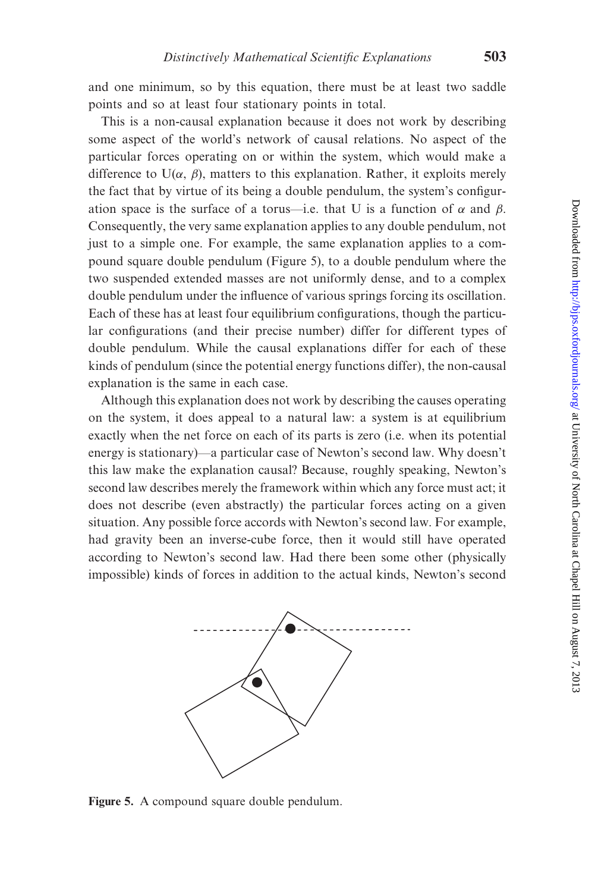and one minimum, so by this equation, there must be at least two saddle points and so at least four stationary points in total.

This is a non-causal explanation because it does not work by describing some aspect of the world's network of causal relations. No aspect of the particular forces operating on or within the system, which would make a difference to  $U(\alpha, \beta)$ , matters to this explanation. Rather, it exploits merely the fact that by virtue of its being a double pendulum, the system's configuration space is the surface of a torus—i.e. that U is a function of  $\alpha$  and  $\beta$ . Consequently, the very same explanation applies to any double pendulum, not just to a simple one. For example, the same explanation applies to a compound square double pendulum (Figure 5), to a double pendulum where the two suspended extended masses are not uniformly dense, and to a complex double pendulum under the influence of various springs forcing its oscillation. Each of these has at least four equilibrium configurations, though the particular configurations (and their precise number) differ for different types of double pendulum. While the causal explanations differ for each of these kinds of pendulum (since the potential energy functions differ), the non-causal explanation is the same in each case.

Although this explanation does not work by describing the causes operating on the system, it does appeal to a natural law: a system is at equilibrium exactly when the net force on each of its parts is zero (i.e. when its potential energy is stationary)—a particular case of Newton's second law. Why doesn't this law make the explanation causal? Because, roughly speaking, Newton's second law describes merely the framework within which any force must act; it does not describe (even abstractly) the particular forces acting on a given situation. Any possible force accords with Newton's second law. For example, had gravity been an inverse-cube force, then it would still have operated according to Newton's second law. Had there been some other (physically impossible) kinds of forces in addition to the actual kinds, Newton's second



Figure 5. A compound square double pendulum.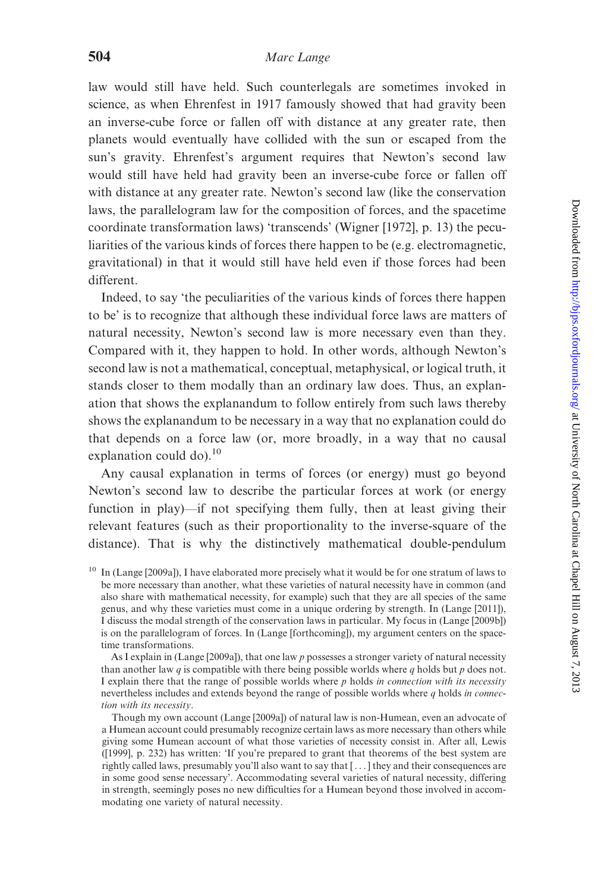law would still have held. Such counterlegals are sometimes invoked in science, as when Ehrenfest in 1917 famously showed that had gravity been an inverse-cube force or fallen off with distance at any greater rate, then planets would eventually have collided with the sun or escaped from the sun's gravity. Ehrenfest's argument requires that Newton's second law would still have held had gravity been an inverse-cube force or fallen off with distance at any greater rate. Newton's second law (like the conservation laws, the parallelogram law for the composition of forces, and the spacetime coordinate transformation laws) 'transcends' ([Wigner \[1972\],](#page-26-0) p. 13) the peculiarities of the various kinds of forces there happen to be (e.g. electromagnetic, gravitational) in that it would still have held even if those forces had been different.

Indeed, to say 'the peculiarities of the various kinds of forces there happen to be' is to recognize that although these individual force laws are matters of natural necessity, Newton's second law is more necessary even than they. Compared with it, they happen to hold. In other words, although Newton's second law is not a mathematical, conceptual, metaphysical, or logical truth, it stands closer to them modally than an ordinary law does. Thus, an explanation that shows the explanandum to follow entirely from such laws thereby shows the explanandum to be necessary in a way that no explanation could do that depends on a force law (or, more broadly, in a way that no causal explanation could do). $10$ 

Any causal explanation in terms of forces (or energy) must go beyond Newton's second law to describe the particular forces at work (or energy function in play)—if not specifying them fully, then at least giving their relevant features (such as their proportionality to the inverse-square of the distance). That is why the distinctively mathematical double-pendulum

As I explain in [\(Lange \[2009a\]](#page-25-0)), that one law  $p$  possesses a stronger variety of natural necessity than another law q is compatible with there being possible worlds where q holds but  $p$  does not. I explain there that the range of possible worlds where  $p$  holds in connection with its necessity nevertheless includes and extends beyond the range of possible worlds where  $q$  holds in connection with its necessity.

Though my own account ([Lange \[2009a\]\)](#page-25-0) of natural law is non-Humean, even an advocate of a Humean account could presumably recognize certain laws as more necessary than others while giving some Humean account of what those varieties of necessity consist in. After all, Lewis [\(\[1999\]](#page-26-0), p. 232) has written: 'If you're prepared to grant that theorems of the best system are rightly called laws, presumably you'll also want to say that [ ... ] they and their consequences are in some good sense necessary'. Accommodating several varieties of natural necessity, differing in strength, seemingly poses no new difficulties for a Humean beyond those involved in accommodating one variety of natural necessity.

<sup>&</sup>lt;sup>10</sup> In [\(Lange \[2009a\]\)](#page-25-0), I have elaborated more precisely what it would be for one stratum of laws to be more necessary than another, what these varieties of natural necessity have in common (and also share with mathematical necessity, for example) such that they are all species of the same genus, and why these varieties must come in a unique ordering by strength. In ([Lange \[2011\]](#page-25-0)), I discuss the modal strength of the conservation laws in particular. My focus in [\(Lange \[2009b\]](#page-25-0)) is on the parallelogram of forces. In ([Lange \[forthcoming\]](#page-26-0)), my argument centers on the spacetime transformations.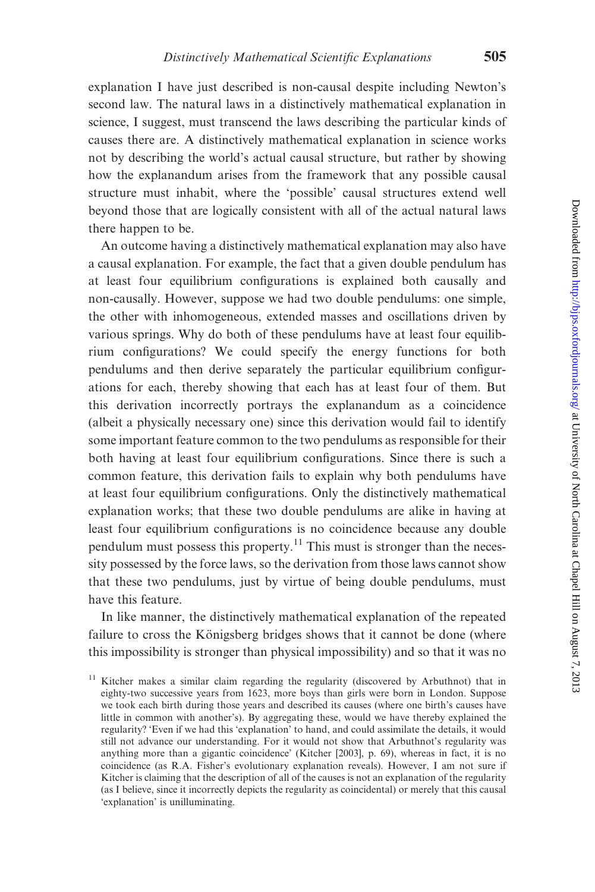explanation I have just described is non-causal despite including Newton's second law. The natural laws in a distinctively mathematical explanation in science, I suggest, must transcend the laws describing the particular kinds of causes there are. A distinctively mathematical explanation in science works not by describing the world's actual causal structure, but rather by showing how the explanandum arises from the framework that any possible causal structure must inhabit, where the 'possible' causal structures extend well beyond those that are logically consistent with all of the actual natural laws there happen to be.

An outcome having a distinctively mathematical explanation may also have a causal explanation. For example, the fact that a given double pendulum has at least four equilibrium configurations is explained both causally and non-causally. However, suppose we had two double pendulums: one simple, the other with inhomogeneous, extended masses and oscillations driven by various springs. Why do both of these pendulums have at least four equilibrium configurations? We could specify the energy functions for both pendulums and then derive separately the particular equilibrium configurations for each, thereby showing that each has at least four of them. But this derivation incorrectly portrays the explanandum as a coincidence (albeit a physically necessary one) since this derivation would fail to identify some important feature common to the two pendulums as responsible for their both having at least four equilibrium configurations. Since there is such a common feature, this derivation fails to explain why both pendulums have at least four equilibrium configurations. Only the distinctively mathematical explanation works; that these two double pendulums are alike in having at least four equilibrium configurations is no coincidence because any double pendulum must possess this property.<sup>11</sup> This must is stronger than the necessity possessed by the force laws, so the derivation from those laws cannot show that these two pendulums, just by virtue of being double pendulums, must have this feature.

In like manner, the distinctively mathematical explanation of the repeated failure to cross the Königsberg bridges shows that it cannot be done (where this impossibility is stronger than physical impossibility) and so that it was no

 $11$  Kitcher makes a similar claim regarding the regularity (discovered by Arbuthnot) that in eighty-two successive years from 1623, more boys than girls were born in London. Suppose we took each birth during those years and described its causes (where one birth's causes have little in common with another's). By aggregating these, would we have thereby explained the regularity? 'Even if we had this 'explanation' to hand, and could assimilate the details, it would still not advance our understanding. For it would not show that Arbuthnot's regularity was anything more than a gigantic coincidence' ([Kitcher \[2003\],](#page-25-0) p. 69), whereas in fact, it is no coincidence (as R.A. Fisher's evolutionary explanation reveals). However, I am not sure if Kitcher is claiming that the description of all of the causes is not an explanation of the regularity (as I believe, since it incorrectly depicts the regularity as coincidental) or merely that this causal 'explanation' is unilluminating.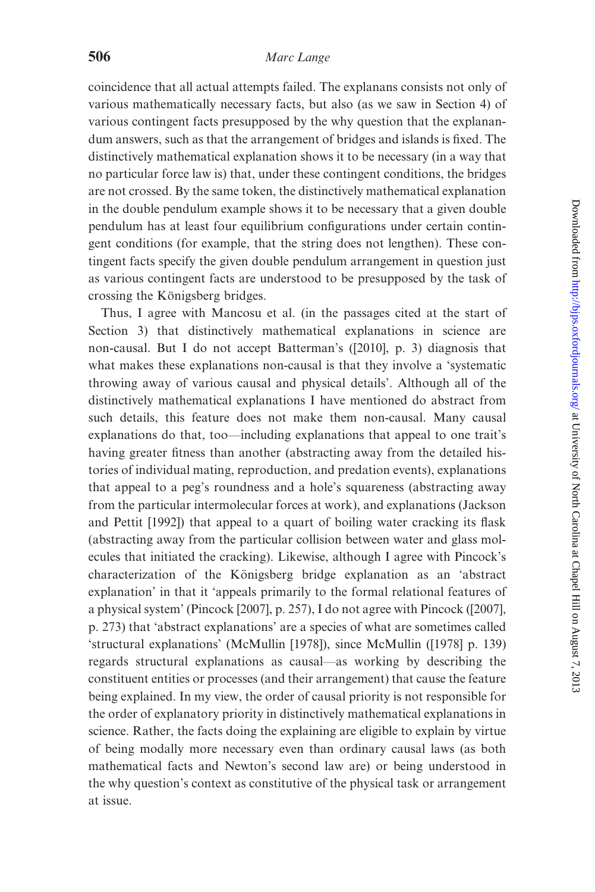coincidence that all actual attempts failed. The explanans consists not only of various mathematically necessary facts, but also (as we saw in Section 4) of various contingent facts presupposed by the why question that the explanandum answers, such as that the arrangement of bridges and islands is fixed. The distinctively mathematical explanation shows it to be necessary (in a way that no particular force law is) that, under these contingent conditions, the bridges are not crossed. By the same token, the distinctively mathematical explanation in the double pendulum example shows it to be necessary that a given double pendulum has at least four equilibrium configurations under certain contingent conditions (for example, that the string does not lengthen). These contingent facts specify the given double pendulum arrangement in question just as various contingent facts are understood to be presupposed by the task of crossing the Königsberg bridges.

Thus, I agree with Mancosu et al. (in the passages cited at the start of Section 3) that distinctively mathematical explanations in science are non-causal. But I do not accept Batterman's ([\[2010\],](#page-25-0) p. 3) diagnosis that what makes these explanations non-causal is that they involve a 'systematic throwing away of various causal and physical details'. Although all of the distinctively mathematical explanations I have mentioned do abstract from such details, this feature does not make them non-causal. Many causal explanations do that, too—including explanations that appeal to one trait's having greater fitness than another (abstracting away from the detailed histories of individual mating, reproduction, and predation events), explanations that appeal to a peg's roundness and a hole's squareness (abstracting away from the particular intermolecular forces at work), and explanations [\(Jackson](#page-25-0) [and Pettit \[1992\]](#page-25-0)) that appeal to a quart of boiling water cracking its flask (abstracting away from the particular collision between water and glass molecules that initiated the cracking). Likewise, although I agree with Pincock's characterization of the Königsberg bridge explanation as an 'abstract explanation' in that it 'appeals primarily to the formal relational features of a physical system' ([Pincock \[2007\]](#page-26-0), p. 257), I do not agree with Pincock ([\[2007\]](#page-26-0), p. 273) that 'abstract explanations' are a species of what are sometimes called 'structural explanations' [\(McMullin \[1978\]](#page-26-0)), since McMullin [\(\[1978\]](#page-26-0) p. 139) regards structural explanations as causal—as working by describing the constituent entities or processes (and their arrangement) that cause the feature being explained. In my view, the order of causal priority is not responsible for the order of explanatory priority in distinctively mathematical explanations in science. Rather, the facts doing the explaining are eligible to explain by virtue of being modally more necessary even than ordinary causal laws (as both mathematical facts and Newton's second law are) or being understood in the why question's context as constitutive of the physical task or arrangement at issue.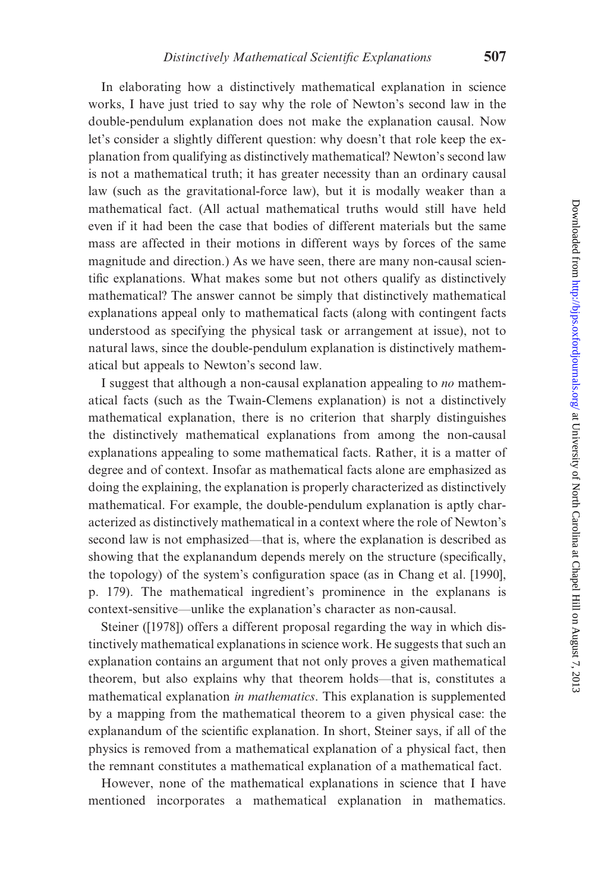In elaborating how a distinctively mathematical explanation in science works, I have just tried to say why the role of Newton's second law in the double-pendulum explanation does not make the explanation causal. Now let's consider a slightly different question: why doesn't that role keep the explanation from qualifying as distinctively mathematical? Newton's second law is not a mathematical truth; it has greater necessity than an ordinary causal law (such as the gravitational-force law), but it is modally weaker than a mathematical fact. (All actual mathematical truths would still have held even if it had been the case that bodies of different materials but the same mass are affected in their motions in different ways by forces of the same magnitude and direction.) As we have seen, there are many non-causal scientific explanations. What makes some but not others qualify as distinctively mathematical? The answer cannot be simply that distinctively mathematical explanations appeal only to mathematical facts (along with contingent facts understood as specifying the physical task or arrangement at issue), not to natural laws, since the double-pendulum explanation is distinctively mathematical but appeals to Newton's second law.

I suggest that although a non-causal explanation appealing to no mathematical facts (such as the Twain-Clemens explanation) is not a distinctively mathematical explanation, there is no criterion that sharply distinguishes the distinctively mathematical explanations from among the non-causal explanations appealing to some mathematical facts. Rather, it is a matter of degree and of context. Insofar as mathematical facts alone are emphasized as doing the explaining, the explanation is properly characterized as distinctively mathematical. For example, the double-pendulum explanation is aptly characterized as distinctively mathematical in a context where the role of Newton's second law is not emphasized—that is, where the explanation is described as showing that the explanandum depends merely on the structure (specifically, the topology) of the system's configuration space (as in [Chang et al. \[1990\]](#page-25-0), p. 179). The mathematical ingredient's prominence in the explanans is context-sensitive—unlike the explanation's character as non-causal.

Steiner [\(\[1978\]](#page-26-0)) offers a different proposal regarding the way in which distinctively mathematical explanations in science work. He suggests that such an explanation contains an argument that not only proves a given mathematical theorem, but also explains why that theorem holds—that is, constitutes a mathematical explanation in mathematics. This explanation is supplemented by a mapping from the mathematical theorem to a given physical case: the explanandum of the scientific explanation. In short, Steiner says, if all of the physics is removed from a mathematical explanation of a physical fact, then the remnant constitutes a mathematical explanation of a mathematical fact.

However, none of the mathematical explanations in science that I have mentioned incorporates a mathematical explanation in mathematics.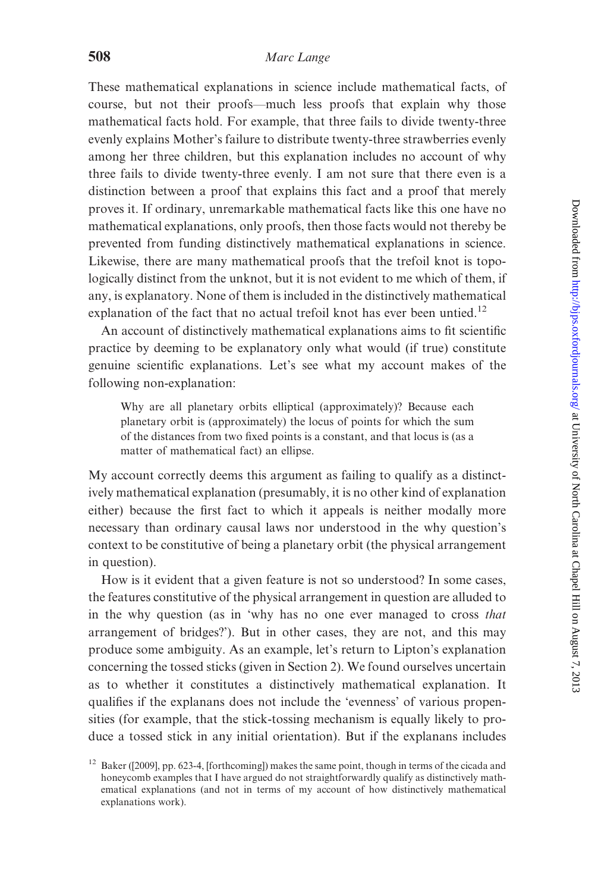These mathematical explanations in science include mathematical facts, of course, but not their proofs—much less proofs that explain why those mathematical facts hold. For example, that three fails to divide twenty-three evenly explains Mother's failure to distribute twenty-three strawberries evenly among her three children, but this explanation includes no account of why three fails to divide twenty-three evenly. I am not sure that there even is a distinction between a proof that explains this fact and a proof that merely proves it. If ordinary, unremarkable mathematical facts like this one have no mathematical explanations, only proofs, then those facts would not thereby be prevented from funding distinctively mathematical explanations in science. Likewise, there are many mathematical proofs that the trefoil knot is topologically distinct from the unknot, but it is not evident to me which of them, if any, is explanatory. None of them is included in the distinctively mathematical explanation of the fact that no actual trefoil knot has ever been untied.<sup>12</sup>

An account of distinctively mathematical explanations aims to fit scientific practice by deeming to be explanatory only what would (if true) constitute genuine scientific explanations. Let's see what my account makes of the following non-explanation:

Why are all planetary orbits elliptical (approximately)? Because each planetary orbit is (approximately) the locus of points for which the sum of the distances from two fixed points is a constant, and that locus is (as a matter of mathematical fact) an ellipse.

My account correctly deems this argument as failing to qualify as a distinctively mathematical explanation (presumably, it is no other kind of explanation either) because the first fact to which it appeals is neither modally more necessary than ordinary causal laws nor understood in the why question's context to be constitutive of being a planetary orbit (the physical arrangement in question).

How is it evident that a given feature is not so understood? In some cases, the features constitutive of the physical arrangement in question are alluded to in the why question (as in 'why has no one ever managed to cross that arrangement of bridges?'). But in other cases, they are not, and this may produce some ambiguity. As an example, let's return to Lipton's explanation concerning the tossed sticks (given in Section 2). We found ourselves uncertain as to whether it constitutes a distinctively mathematical explanation. It qualifies if the explanans does not include the 'evenness' of various propensities (for example, that the stick-tossing mechanism is equally likely to produce a tossed stick in any initial orientation). But if the explanans includes

<sup>&</sup>lt;sup>12</sup> Baker [\(\[2009\]](#page-25-0), pp. 623-4, [\[forthcoming\]](#page-25-0)) makes the same point, though in terms of the cicada and honeycomb examples that I have argued do not straightforwardly qualify as distinctively mathematical explanations (and not in terms of my account of how distinctively mathematical explanations work).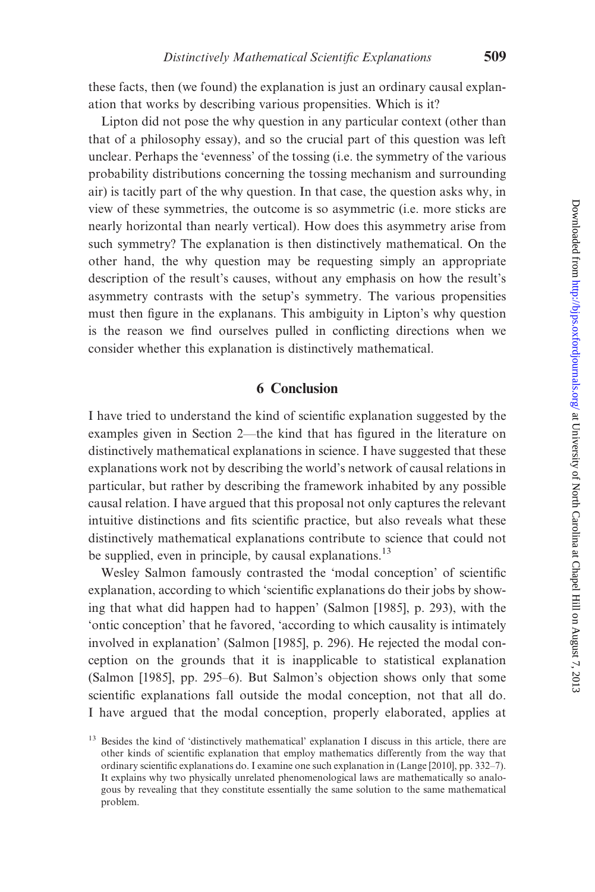these facts, then (we found) the explanation is just an ordinary causal explanation that works by describing various propensities. Which is it?

Lipton did not pose the why question in any particular context (other than that of a philosophy essay), and so the crucial part of this question was left unclear. Perhaps the 'evenness' of the tossing (i.e. the symmetry of the various probability distributions concerning the tossing mechanism and surrounding air) is tacitly part of the why question. In that case, the question asks why, in view of these symmetries, the outcome is so asymmetric (i.e. more sticks are nearly horizontal than nearly vertical). How does this asymmetry arise from such symmetry? The explanation is then distinctively mathematical. On the other hand, the why question may be requesting simply an appropriate description of the result's causes, without any emphasis on how the result's asymmetry contrasts with the setup's symmetry. The various propensities must then figure in the explanans. This ambiguity in Lipton's why question is the reason we find ourselves pulled in conflicting directions when we consider whether this explanation is distinctively mathematical.

#### 6 Conclusion

I have tried to understand the kind of scientific explanation suggested by the examples given in Section 2—the kind that has figured in the literature on distinctively mathematical explanations in science. I have suggested that these explanations work not by describing the world's network of causal relations in particular, but rather by describing the framework inhabited by any possible causal relation. I have argued that this proposal not only captures the relevant intuitive distinctions and fits scientific practice, but also reveals what these distinctively mathematical explanations contribute to science that could not be supplied, even in principle, by causal explanations.<sup>13</sup>

Wesley Salmon famously contrasted the 'modal conception' of scientific explanation, according to which 'scientific explanations do their jobs by showing that what did happen had to happen' ([Salmon \[1985\]](#page-26-0), p. 293), with the 'ontic conception' that he favored, 'according to which causality is intimately involved in explanation' ([Salmon \[1985\]](#page-26-0), p. 296). He rejected the modal conception on the grounds that it is inapplicable to statistical explanation ([Salmon \[1985\],](#page-26-0) pp. 295–6). But Salmon's objection shows only that some scientific explanations fall outside the modal conception, not that all do. I have argued that the modal conception, properly elaborated, applies at

<sup>&</sup>lt;sup>13</sup> Besides the kind of 'distinctively mathematical' explanation I discuss in this article, there are other kinds of scientific explanation that employ mathematics differently from the way that ordinary scientific explanations do. I examine one such explanation in ([Lange \[2010\],](#page-25-0) pp. 332–7). It explains why two physically unrelated phenomenological laws are mathematically so analogous by revealing that they constitute essentially the same solution to the same mathematical problem.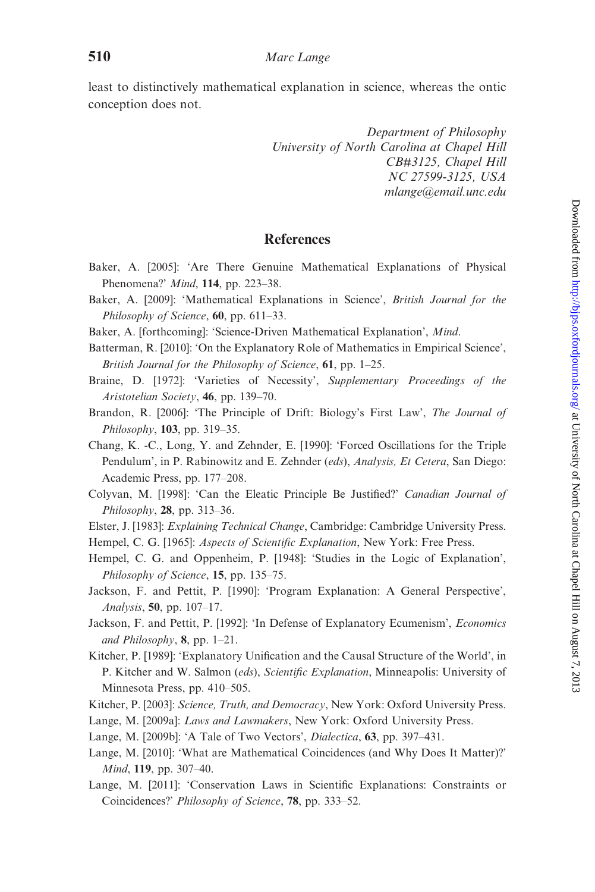<span id="page-25-0"></span>least to distinctively mathematical explanation in science, whereas the ontic conception does not.

> Department of Philosophy University of North Carolina at Chapel Hill CB#3125, Chapel Hill NC 27599-3125, USA mlange@email.unc.edu

### **References**

- Baker, A. [2005]: 'Are There Genuine Mathematical Explanations of Physical Phenomena?' Mind, 114, pp. 223–38.
- Baker, A. [2009]: 'Mathematical Explanations in Science', British Journal for the Philosophy of Science, 60, pp. 611-33.
- Baker, A. [forthcoming]: 'Science-Driven Mathematical Explanation', Mind.
- Batterman, R. [2010]: 'On the Explanatory Role of Mathematics in Empirical Science', British Journal for the Philosophy of Science, 61, pp. 1–25.
- Braine, D. [1972]: 'Varieties of Necessity', Supplementary Proceedings of the Aristotelian Society, 46, pp. 139–70.
- Brandon, R. [2006]: 'The Principle of Drift: Biology's First Law', The Journal of Philosophy,  $103$ , pp. 319–35.
- Chang, K. -C., Long, Y. and Zehnder, E. [1990]: 'Forced Oscillations for the Triple Pendulum', in P. Rabinowitz and E. Zehnder (eds), Analysis, Et Cetera, San Diego: Academic Press, pp. 177–208.
- Colyvan, M. [1998]: 'Can the Eleatic Principle Be Justified?' Canadian Journal of Philosophy,  $28$ , pp. 313–36.
- Elster, J. [1983]: Explaining Technical Change, Cambridge: Cambridge University Press.
- Hempel, C. G. [1965]: Aspects of Scientific Explanation, New York: Free Press.
- Hempel, C. G. and Oppenheim, P. [1948]: 'Studies in the Logic of Explanation', Philosophy of Science, 15, pp. 135–75.
- Jackson, F. and Pettit, P. [1990]: 'Program Explanation: A General Perspective', Analysis, 50, pp. 107–17.
- Jackson, F. and Pettit, P. [1992]: 'In Defense of Explanatory Ecumenism', Economics and Philosophy, 8, pp. 1–21.
- Kitcher, P. [1989]: 'Explanatory Unification and the Causal Structure of the World', in P. Kitcher and W. Salmon (eds), Scientific Explanation, Minneapolis: University of Minnesota Press, pp. 410–505.
- Kitcher, P. [2003]: Science, Truth, and Democracy, New York: Oxford University Press.
- Lange, M. [2009a]: Laws and Lawmakers, New York: Oxford University Press.
- Lange, M. [2009b]: 'A Tale of Two Vectors', Dialectica, 63, pp. 397–431.
- Lange, M. [2010]: 'What are Mathematical Coincidences (and Why Does It Matter)?' Mind, 119, pp. 307–40.
- Lange, M. [2011]: 'Conservation Laws in Scientific Explanations: Constraints or Coincidences?' Philosophy of Science, 78, pp. 333–52.